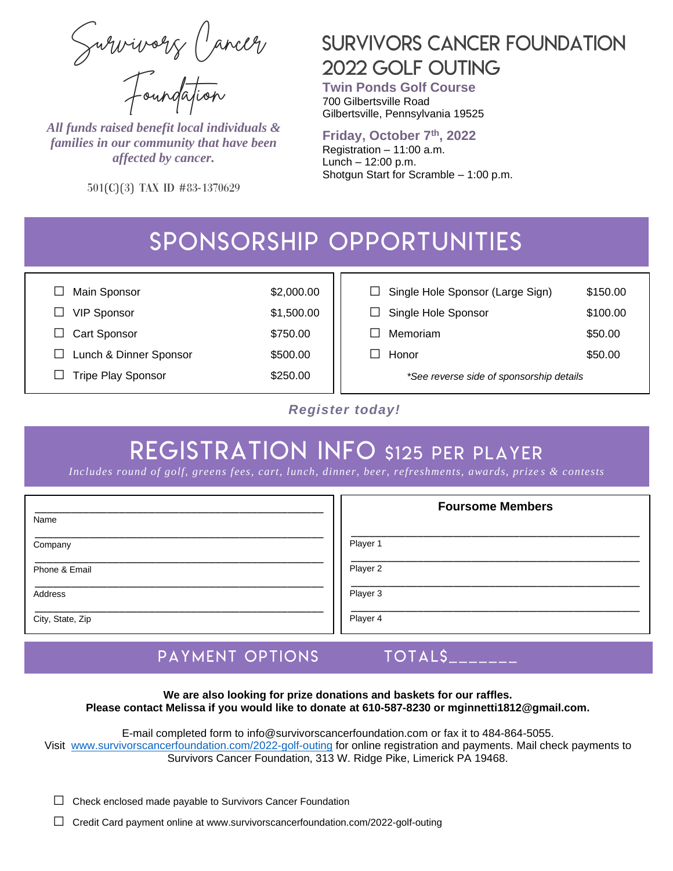Survivors Cancer Foundation

*All funds raised benefit local individuals & families in our community that have been affected by cancer.*

501(c)(3) Tax ID #83-1370629

## **SURVIVORS CANCER FOUNDATION** 2022 GOLF OUTING

**Twin Ponds Golf Course**  700 Gilbertsville Road Gilbertsville, Pennsylvania 19525

#### **Friday, October 7th, 2022**

Registration – 11:00 a.m. Lunch – 12:00 p.m. Shotgun Start for Scramble – 1:00 p.m.

# SPONSORSHIP OPPORTUNITIES

| Main Sponsor              | \$2,000.00 | $\Box$ Single Hole Sponsor (Large Sign)  | \$150.00 |
|---------------------------|------------|------------------------------------------|----------|
| <b>VIP Sponsor</b>        | \$1,500.00 | Single Hole Sponsor                      | \$100.00 |
| <b>Cart Sponsor</b>       | \$750.00   | Memoriam                                 | \$50.00  |
| Lunch & Dinner Sponsor    | \$500.00   | Honor                                    | \$50.00  |
| <b>Tripe Play Sponsor</b> | \$250.00   | *See reverse side of sponsorship details |          |

#### *Register today!*

# **REGISTRATION INFO \$125 PER PLAYER**

*Includes round of golf, greens fees, cart, lunch, dinner, beer, refreshments, awards, prize s & contests*

| Name             | <b>Foursome Members</b> |
|------------------|-------------------------|
|                  |                         |
| Company          | Player 1                |
| Phone & Email    | Player 2                |
| Address          | Player 3                |
| City, State, Zip | Player 4                |

#### $TOTALS$ <sub>\_\_\_\_</sub> PAYMENT OPTIONS

**We are also looking for prize donations and baskets for our raffles. Please contact Melissa if you would like to donate at 610-587-8230 or mginnetti1812@gmail.com.**

E-mail completed form to [info@survivorscancerfoundation.com](mailto:info@survivorscancerfoundation.com) or fax it to 484-864-5055. Visit [www.survivorscancerfoundation.com/2022-golf-outing](http://www.survivorscancerfoundation.com/2022-golf-outing) for online registration and payments. Mail check payments to Survivors Cancer Foundation, 313 W. Ridge Pike, Limerick PA 19468.

 $\Box$  Check enclosed made payable to Survivors Cancer Foundation

□ Credit Card payment online at www.survivorscancerfoundation.com/2022-golf-outing